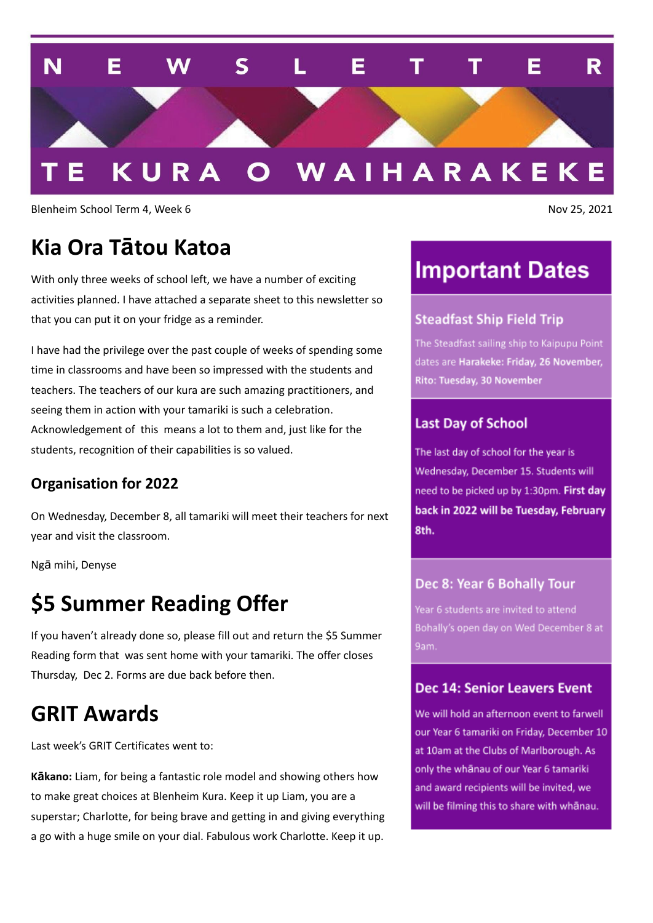

Blenheim School Term 4, Week 6 Nov 25, 2021

## **Kia Ora Tātou Katoa**

With only three weeks of school left, we have a number of exciting activities planned. I have attached a separate sheet to this newsletter so that you can put it on your fridge as a reminder.

I have had the privilege over the past couple of weeks of spending some time in classrooms and have been so impressed with the students and teachers. The teachers of our kura are such amazing practitioners, and seeing them in action with your tamariki is such a celebration. Acknowledgement of this means a lot to them and, just like for the students, recognition of their capabilities is so valued.

### **Organisation for 2022**

On Wednesday, December 8, all tamariki will meet their teachers for next year and visit the classroom.

Ngā mihi, Denyse

### **\$5 Summer Reading Offer**

If you haven't already done so, please fill out and return the \$5 Summer Reading form that was sent home with your tamariki. The offer closes Thursday, Dec 2. Forms are due back before then.

### **GRIT Awards**

Last week's GRIT Certificates went to:

**Kākano:** Liam, for being a fantastic role model and showing others how to make great choices at Blenheim Kura. Keep it up Liam, you are a superstar; Charlotte, for being brave and getting in and giving everything a go with a huge smile on your dial. Fabulous work Charlotte. Keep it up.

## **Important Dates**

#### **Steadfast Ship Field Trip**

The Steadfast sailing ship to Kaipupu Point dates are Harakeke: Friday, 26 November, Rito: Tuesday, 30 November

#### **Last Day of School**

The last day of school for the year is Wednesday, December 15. Students will need to be picked up by 1:30pm. First day back in 2022 will be Tuesday, February 8th.

#### Dec 8: Year 6 Bohally Tour

Year 6 students are invited to attend Bohally's open day on Wed December 8 at 9am.

#### **Dec 14: Senior Leavers Event**

We will hold an afternoon event to farwell our Year 6 tamariki on Friday, December 10 at 10am at the Clubs of Marlborough. As only the whanau of our Year 6 tamariki and award recipients will be invited, we will be filming this to share with whānau.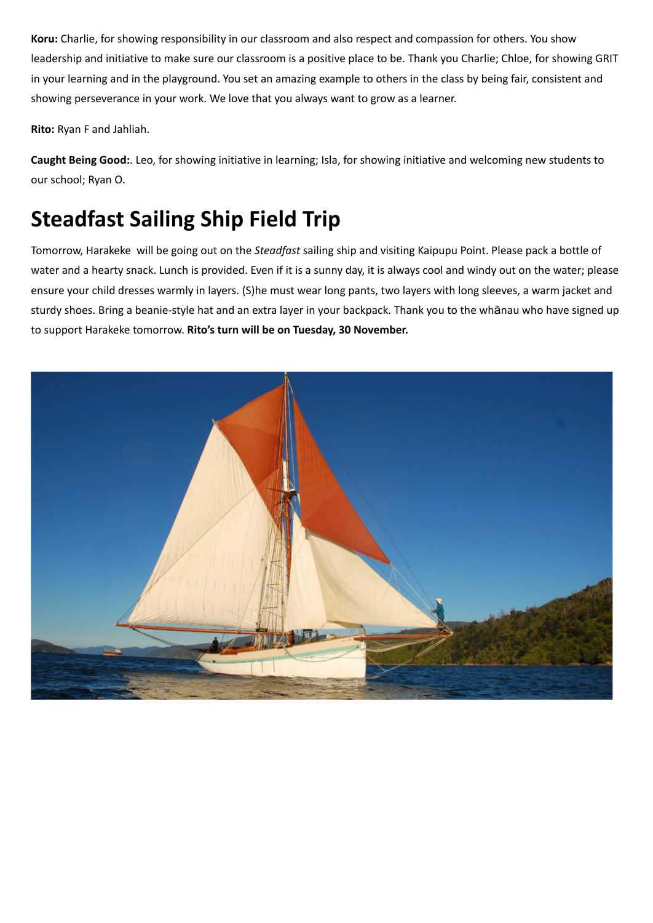**Koru:** Charlie, for showing responsibility in our classroom and also respect and compassion for others. You show leadership and initiative to make sure our classroom is a positive place to be. Thank you Charlie; Chloe, for showing GRIT in your learning and in the playground. You set an amazing example to others in the class by being fair, consistent and showing perseverance in your work. We love that you always want to grow as a learner.

**Rito:** Ryan F and Jahliah.

**Caught Being Good:**. Leo, for showing initiative in learning; Isla, for showing initiative and welcoming new students to our school; Ryan O.

## **Steadfast Sailing Ship Field Trip**

Tomorrow, Harakeke will be going out on the *Steadfast* sailing ship and visiting Kaipupu Point. Please pack a bottle of water and a hearty snack. Lunch is provided. Even if it is a sunny day, it is always cool and windy out on the water; please ensure your child dresses warmly in layers. (S)he must wear long pants, two layers with long sleeves, a warm jacket and sturdy shoes. Bring a beanie-style hat and an extra layer in your backpack. Thank you to the whānau who have signed up to support Harakeke tomorrow. **Rito's turn will be on Tuesday, 30 November.**